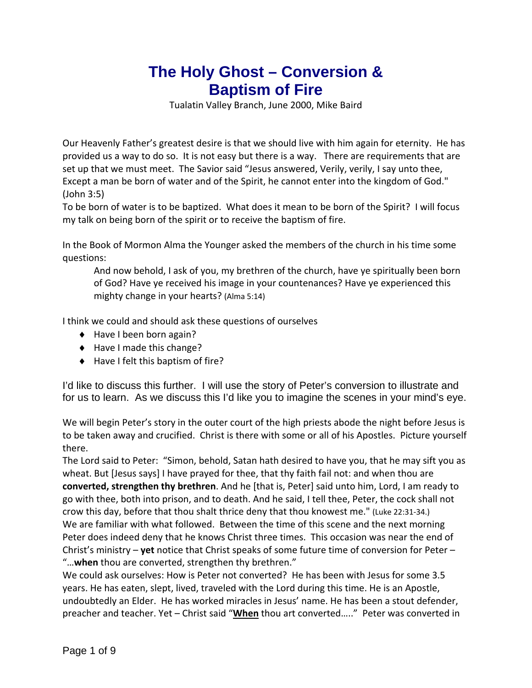## **The Holy Ghost – Conversion & Baptism of Fire**

Tualatin Valley Branch, June 2000, Mike Baird

Our Heavenly Father's greatest desire is that we should live with him again for eternity. He has provided us a way to do so. It is not easy but there is a way. There are requirements that are set up that we must meet. The Savior said "Jesus answered, Verily, verily, I say unto thee, Except a man be born of water and of the Spirit, he cannot enter into the kingdom of God." (John 3:5)

To be born of water is to be baptized. What does it mean to be born of the Spirit? I will focus my talk on being born of the spirit or to receive the baptism of fire.

In the Book of Mormon Alma the Younger asked the members of the church in his time some questions:

And now behold, I ask of you, my brethren of the church, have ye spiritually been born of God? Have ye received his image in your countenances? Have ye experienced this mighty change in your hearts? (Alma 5:14)

I think we could and should ask these questions of ourselves

- ◆ Have I been born again?
- ◆ Have I made this change?
- $\blacklozenge$  Have I felt this baptism of fire?

I'd like to discuss this further. I will use the story of Peter's conversion to illustrate and for us to learn. As we discuss this I'd like you to imagine the scenes in your mind's eye.

We will begin Peter's story in the outer court of the high priests abode the night before Jesus is to be taken away and crucified. Christ is there with some or all of his Apostles. Picture yourself there.

The Lord said to Peter: "Simon, behold, Satan hath desired to have you, that he may sift you as wheat. But [Jesus says] I have prayed for thee, that thy faith fail not: and when thou are **converted, strengthen thy brethren**. And he [that is, Peter] said unto him, Lord, I am ready to go with thee, both into prison, and to death. And he said, I tell thee, Peter, the cock shall not crow this day, before that thou shalt thrice deny that thou knowest me." (Luke 22:31‐34.) We are familiar with what followed. Between the time of this scene and the next morning Peter does indeed deny that he knows Christ three times. This occasion was near the end of Christ's ministry – **yet** notice that Christ speaks of some future time of conversion for Peter – "…**when** thou are converted, strengthen thy brethren."

We could ask ourselves: How is Peter not converted? He has been with Jesus for some 3.5 years. He has eaten, slept, lived, traveled with the Lord during this time. He is an Apostle, undoubtedly an Elder. He has worked miracles in Jesus' name. He has been a stout defender, preacher and teacher. Yet – Christ said "**When** thou art converted….." Peter was converted in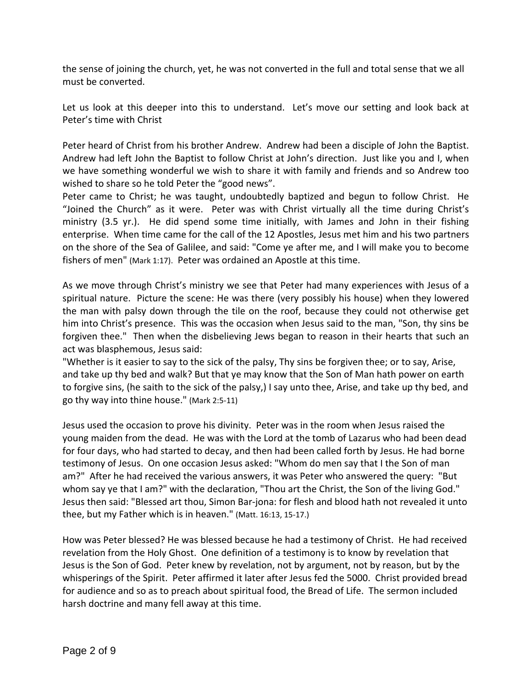the sense of joining the church, yet, he was not converted in the full and total sense that we all must be converted.

Let us look at this deeper into this to understand. Let's move our setting and look back at Peter's time with Christ

Peter heard of Christ from his brother Andrew. Andrew had been a disciple of John the Baptist. Andrew had left John the Baptist to follow Christ at John's direction. Just like you and I, when we have something wonderful we wish to share it with family and friends and so Andrew too wished to share so he told Peter the "good news".

Peter came to Christ; he was taught, undoubtedly baptized and begun to follow Christ. He "Joined the Church" as it were. Peter was with Christ virtually all the time during Christ's ministry (3.5 yr.). He did spend some time initially, with James and John in their fishing enterprise. When time came for the call of the 12 Apostles, Jesus met him and his two partners on the shore of the Sea of Galilee, and said: "Come ye after me, and I will make you to become fishers of men" (Mark 1:17). Peter was ordained an Apostle at this time.

As we move through Christ's ministry we see that Peter had many experiences with Jesus of a spiritual nature. Picture the scene: He was there (very possibly his house) when they lowered the man with palsy down through the tile on the roof, because they could not otherwise get him into Christ's presence. This was the occasion when Jesus said to the man, "Son, thy sins be forgiven thee." Then when the disbelieving Jews began to reason in their hearts that such an act was blasphemous, Jesus said:

"Whether is it easier to say to the sick of the palsy, Thy sins be forgiven thee; or to say, Arise, and take up thy bed and walk? But that ye may know that the Son of Man hath power on earth to forgive sins, (he saith to the sick of the palsy,) I say unto thee, Arise, and take up thy bed, and go thy way into thine house." (Mark 2:5‐11)

Jesus used the occasion to prove his divinity. Peter was in the room when Jesus raised the young maiden from the dead. He was with the Lord at the tomb of Lazarus who had been dead for four days, who had started to decay, and then had been called forth by Jesus. He had borne testimony of Jesus. On one occasion Jesus asked: "Whom do men say that I the Son of man am?" After he had received the various answers, it was Peter who answered the query: "But whom say ye that I am?" with the declaration, "Thou art the Christ, the Son of the living God." Jesus then said: "Blessed art thou, Simon Bar‐jona: for flesh and blood hath not revealed it unto thee, but my Father which is in heaven." (Matt. 16:13, 15‐17.)

How was Peter blessed? He was blessed because he had a testimony of Christ. He had received revelation from the Holy Ghost. One definition of a testimony is to know by revelation that Jesus is the Son of God. Peter knew by revelation, not by argument, not by reason, but by the whisperings of the Spirit. Peter affirmed it later after Jesus fed the 5000. Christ provided bread for audience and so as to preach about spiritual food, the Bread of Life. The sermon included harsh doctrine and many fell away at this time.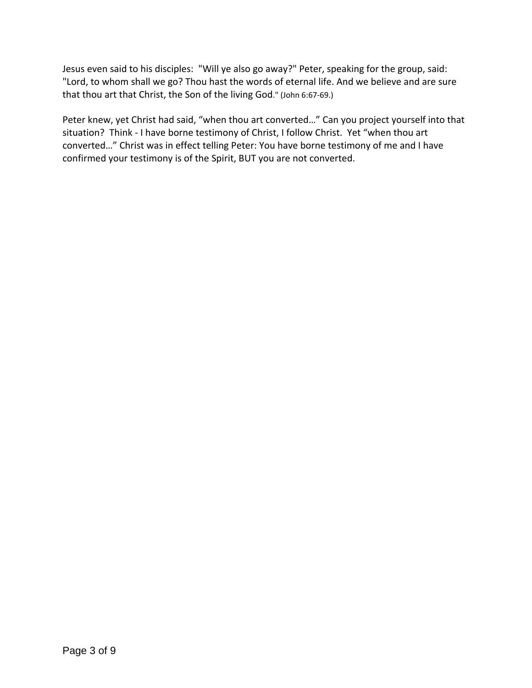Jesus even said to his disciples: "Will ye also go away?" Peter, speaking for the group, said: "Lord, to whom shall we go? Thou hast the words of eternal life. And we believe and are sure that thou art that Christ, the Son of the living God." (John 6:67‐69.)

Peter knew, yet Christ had said, "when thou art converted…" Can you project yourself into that situation? Think - I have borne testimony of Christ, I follow Christ. Yet "when thou art converted…" Christ was in effect telling Peter: You have borne testimony of me and I have confirmed your testimony is of the Spirit, BUT you are not converted.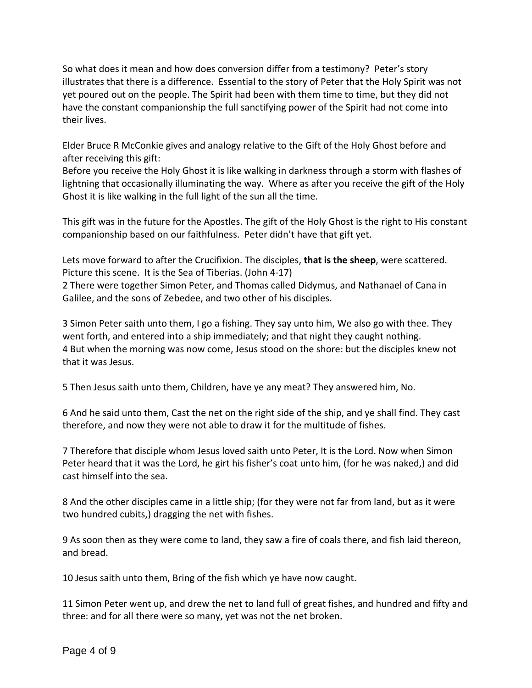So what does it mean and how does conversion differ from a testimony? Peter's story illustrates that there is a difference. Essential to the story of Peter that the Holy Spirit was not yet poured out on the people. The Spirit had been with them time to time, but they did not have the constant companionship the full sanctifying power of the Spirit had not come into their lives.

Elder Bruce R McConkie gives and analogy relative to the Gift of the Holy Ghost before and after receiving this gift:

Before you receive the Holy Ghost it is like walking in darkness through a storm with flashes of lightning that occasionally illuminating the way. Where as after you receive the gift of the Holy Ghost it is like walking in the full light of the sun all the time.

This gift was in the future for the Apostles. The gift of the Holy Ghost is the right to His constant companionship based on our faithfulness. Peter didn't have that gift yet.

Lets move forward to after the Crucifixion. The disciples, **that is the sheep**, were scattered. Picture this scene. It is the Sea of Tiberias. (John 4‐17)

2 There were together Simon Peter, and Thomas called Didymus, and Nathanael of Cana in Galilee, and the sons of Zebedee, and two other of his disciples.

3 Simon Peter saith unto them, I go a fishing. They say unto him, We also go with thee. They went forth, and entered into a ship immediately; and that night they caught nothing. 4 But when the morning was now come, Jesus stood on the shore: but the disciples knew not that it was Jesus.

5 Then Jesus saith unto them, Children, have ye any meat? They answered him, No.

6 And he said unto them, Cast the net on the right side of the ship, and ye shall find. They cast therefore, and now they were not able to draw it for the multitude of fishes.

7 Therefore that disciple whom Jesus loved saith unto Peter, It is the Lord. Now when Simon Peter heard that it was the Lord, he girt his fisher's coat unto him, (for he was naked,) and did cast himself into the sea.

8 And the other disciples came in a little ship; (for they were not far from land, but as it were two hundred cubits,) dragging the net with fishes.

9 As soon then as they were come to land, they saw a fire of coals there, and fish laid thereon, and bread.

10 Jesus saith unto them, Bring of the fish which ye have now caught.

11 Simon Peter went up, and drew the net to land full of great fishes, and hundred and fifty and three: and for all there were so many, yet was not the net broken.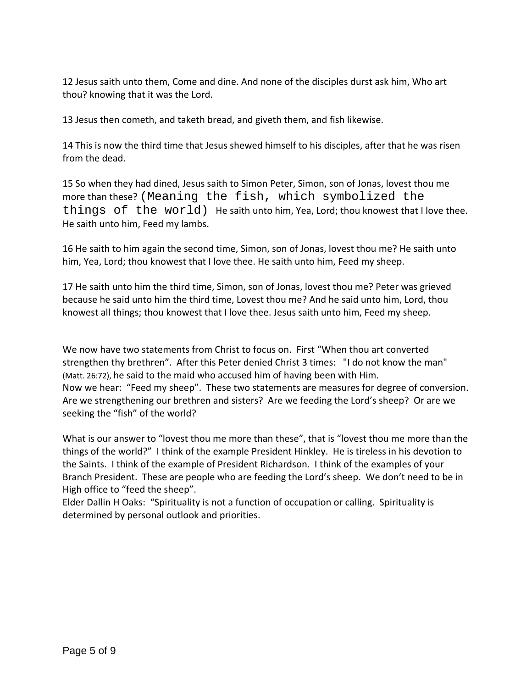12 Jesus saith unto them, Come and dine. And none of the disciples durst ask him, Who art thou? knowing that it was the Lord.

13 Jesus then cometh, and taketh bread, and giveth them, and fish likewise.

14 This is now the third time that Jesus shewed himself to his disciples, after that he was risen from the dead.

15 So when they had dined, Jesus saith to Simon Peter, Simon, son of Jonas, lovest thou me more than these? (Meaning the fish, which symbolized the things of the world) He saith unto him, Yea, Lord; thou knowest that I love thee. He saith unto him, Feed my lambs.

16 He saith to him again the second time, Simon, son of Jonas, lovest thou me? He saith unto him, Yea, Lord; thou knowest that I love thee. He saith unto him, Feed my sheep.

17 He saith unto him the third time, Simon, son of Jonas, lovest thou me? Peter was grieved because he said unto him the third time, Lovest thou me? And he said unto him, Lord, thou knowest all things; thou knowest that I love thee. Jesus saith unto him, Feed my sheep.

We now have two statements from Christ to focus on. First "When thou art converted strengthen thy brethren". After this Peter denied Christ 3 times: "I do not know the man" (Matt. 26:72), he said to the maid who accused him of having been with Him. Now we hear: "Feed my sheep". These two statements are measures for degree of conversion. Are we strengthening our brethren and sisters? Are we feeding the Lord's sheep? Or are we seeking the "fish" of the world?

What is our answer to "lovest thou me more than these", that is "lovest thou me more than the things of the world?" I think of the example President Hinkley. He is tireless in his devotion to the Saints. I think of the example of President Richardson. I think of the examples of your Branch President. These are people who are feeding the Lord's sheep. We don't need to be in High office to "feed the sheep".

Elder Dallin H Oaks: "Spirituality is not a function of occupation or calling. Spirituality is determined by personal outlook and priorities.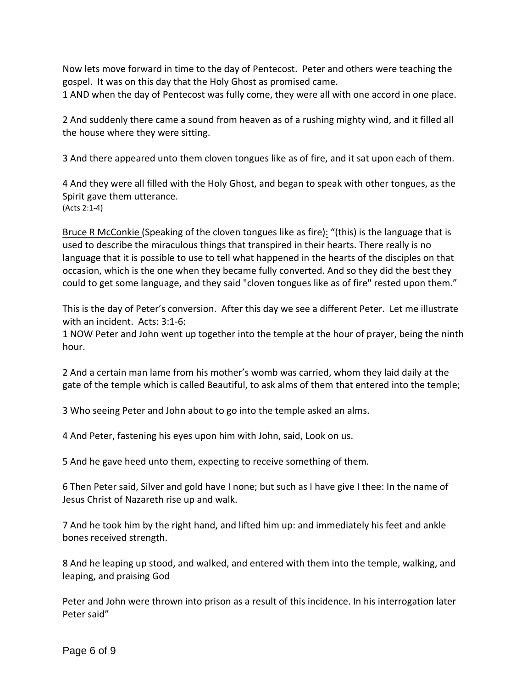Now lets move forward in time to the day of Pentecost. Peter and others were teaching the gospel. It was on this day that the Holy Ghost as promised came.

1 AND when the day of Pentecost was fully come, they were all with one accord in one place.

2 And suddenly there came a sound from heaven as of a rushing mighty wind, and it filled all the house where they were sitting.

3 And there appeared unto them cloven tongues like as of fire, and it sat upon each of them.

4 And they were all filled with the Holy Ghost, and began to speak with other tongues, as the Spirit gave them utterance. (Acts 2:1‐4)

Bruce R McConkie (Speaking of the cloven tongues like as fire): "(this) is the language that is used to describe the miraculous things that transpired in their hearts. There really is no language that it is possible to use to tell what happened in the hearts of the disciples on that occasion, which is the one when they became fully converted. And so they did the best they could to get some language, and they said "cloven tongues like as of fire" rested upon them."

This is the day of Peter's conversion. After this day we see a different Peter. Let me illustrate with an incident. Acts: 3:1‐6:

1 NOW Peter and John went up together into the temple at the hour of prayer, being the ninth hour.

2 And a certain man lame from his mother's womb was carried, whom they laid daily at the gate of the temple which is called Beautiful, to ask alms of them that entered into the temple;

3 Who seeing Peter and John about to go into the temple asked an alms.

4 And Peter, fastening his eyes upon him with John, said, Look on us.

5 And he gave heed unto them, expecting to receive something of them.

6 Then Peter said, Silver and gold have I none; but such as I have give I thee: In the name of Jesus Christ of Nazareth rise up and walk.

7 And he took him by the right hand, and lifted him up: and immediately his feet and ankle bones received strength.

8 And he leaping up stood, and walked, and entered with them into the temple, walking, and leaping, and praising God

Peter and John were thrown into prison as a result of this incidence. In his interrogation later Peter said"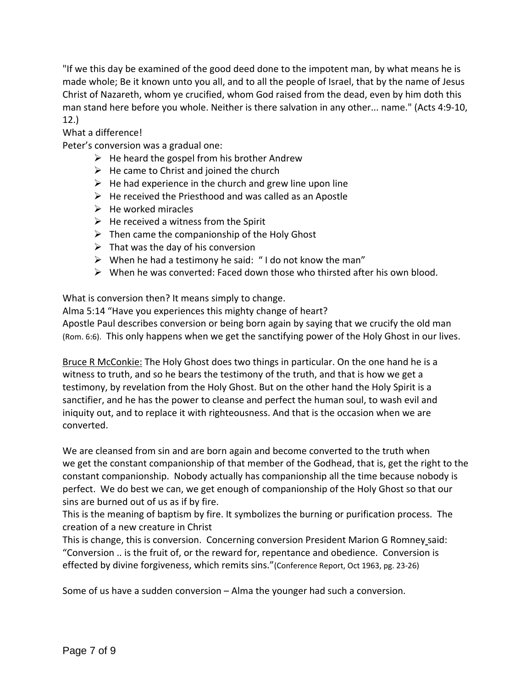"If we this day be examined of the good deed done to the impotent man, by what means he is made whole; Be it known unto you all, and to all the people of Israel, that by the name of Jesus Christ of Nazareth, whom ye crucified, whom God raised from the dead, even by him doth this man stand here before you whole. Neither is there salvation in any other... name." (Acts 4:9‐10, 12.)

## What a difference!

Peter's conversion was a gradual one:

- $\triangleright$  He heard the gospel from his brother Andrew
- $\triangleright$  He came to Christ and joined the church
- $\triangleright$  He had experience in the church and grew line upon line
- $\triangleright$  He received the Priesthood and was called as an Apostle
- $\triangleright$  He worked miracles
- $\triangleright$  He received a witness from the Spirit
- $\triangleright$  Then came the companionship of the Holy Ghost
- $\triangleright$  That was the day of his conversion
- $\triangleright$  When he had a testimony he said: "I do not know the man"
- $\triangleright$  When he was converted: Faced down those who thirsted after his own blood.

What is conversion then? It means simply to change.

Alma 5:14 "Have you experiences this mighty change of heart?

Apostle Paul describes conversion or being born again by saying that we crucify the old man (Rom. 6:6). This only happens when we get the sanctifying power of the Holy Ghost in our lives.

Bruce R McConkie: The Holy Ghost does two things in particular. On the one hand he is a witness to truth, and so he bears the testimony of the truth, and that is how we get a testimony, by revelation from the Holy Ghost. But on the other hand the Holy Spirit is a sanctifier, and he has the power to cleanse and perfect the human soul, to wash evil and iniquity out, and to replace it with righteousness. And that is the occasion when we are converted.

We are cleansed from sin and are born again and become converted to the truth when we get the constant companionship of that member of the Godhead, that is, get the right to the constant companionship. Nobody actually has companionship all the time because nobody is perfect. We do best we can, we get enough of companionship of the Holy Ghost so that our sins are burned out of us as if by fire.

This is the meaning of baptism by fire. It symbolizes the burning or purification process. The creation of a new creature in Christ

This is change, this is conversion. Concerning conversion President Marion G Romney said: "Conversion .. is the fruit of, or the reward for, repentance and obedience. Conversion is effected by divine forgiveness, which remits sins."(Conference Report, Oct 1963, pg. 23‐26)

Some of us have a sudden conversion – Alma the younger had such a conversion.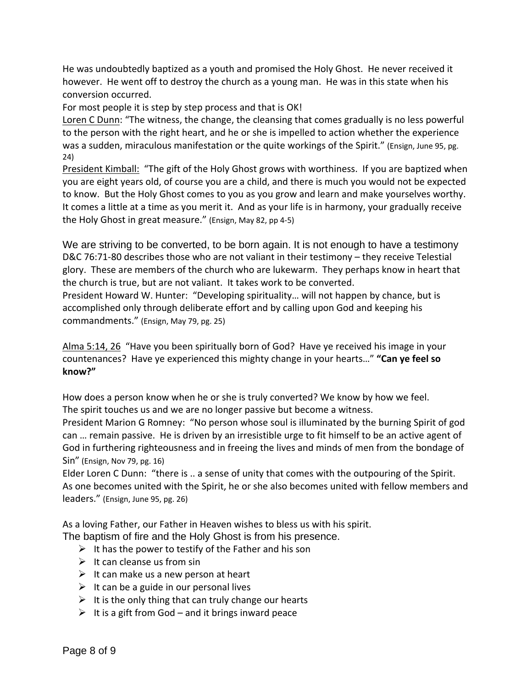He was undoubtedly baptized as a youth and promised the Holy Ghost. He never received it however. He went off to destroy the church as a young man. He was in this state when his conversion occurred.

For most people it is step by step process and that is OK!

Loren C Dunn: "The witness, the change, the cleansing that comes gradually is no less powerful to the person with the right heart, and he or she is impelled to action whether the experience was a sudden, miraculous manifestation or the quite workings of the Spirit." (Ensign, June 95, pg. 24)

President Kimball: "The gift of the Holy Ghost grows with worthiness. If you are baptized when you are eight years old, of course you are a child, and there is much you would not be expected to know. But the Holy Ghost comes to you as you grow and learn and make yourselves worthy. It comes a little at a time as you merit it. And as your life is in harmony, your gradually receive the Holy Ghost in great measure." (Ensign, May 82, pp 4‐5)

We are striving to be converted, to be born again. It is not enough to have a testimony D&C 76:71-80 describes those who are not valiant in their testimony – they receive Telestial glory. These are members of the church who are lukewarm. They perhaps know in heart that the church is true, but are not valiant. It takes work to be converted.

President Howard W. Hunter: "Developing spirituality… will not happen by chance, but is accomplished only through deliberate effort and by calling upon God and keeping his commandments." (Ensign, May 79, pg. 25)

Alma 5:14, 26 "Have you been spiritually born of God? Have ye received his image in your countenances? Have ye experienced this mighty change in your hearts…" **"Can ye feel so know?"**

How does a person know when he or she is truly converted? We know by how we feel. The spirit touches us and we are no longer passive but become a witness.

President Marion G Romney: "No person whose soul is illuminated by the burning Spirit of god can … remain passive. He is driven by an irresistible urge to fit himself to be an active agent of God in furthering righteousness and in freeing the lives and minds of men from the bondage of Sin" (Ensign, Nov 79, pg. 16)

Elder Loren C Dunn: "there is .. a sense of unity that comes with the outpouring of the Spirit. As one becomes united with the Spirit, he or she also becomes united with fellow members and leaders." (Ensign, June 95, pg. 26)

As a loving Father, our Father in Heaven wishes to bless us with his spirit.

The baptism of fire and the Holy Ghost is from his presence.

- $\triangleright$  It has the power to testify of the Father and his son
- $\triangleright$  It can cleanse us from sin
- $\triangleright$  It can make us a new person at heart
- $\triangleright$  It can be a guide in our personal lives
- $\triangleright$  It is the only thing that can truly change our hearts
- $\triangleright$  It is a gift from God and it brings inward peace